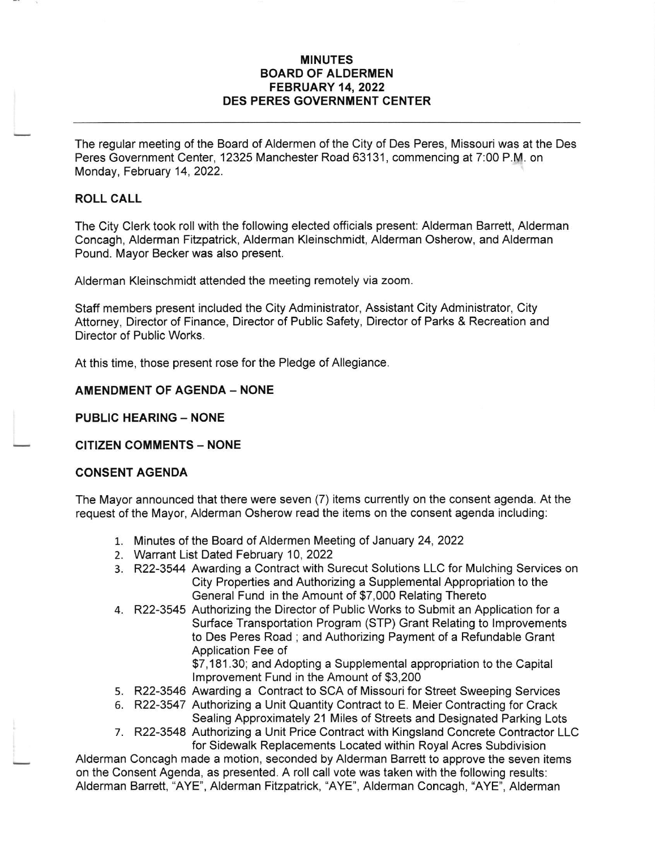### MINUTES BOARD OF ALDERMEN FEBRUARY 14,2022 DES PERES GOVERNMENT CENTER

The regular meeting of the Board of Aldermen of the City of Des Peres, Missouri was at the Des Peres Government Center, 12325 Manchester Road 63131, commencing at 7:00 P.M. on Monday, February 14, 2022.

### ROLL CALL

The City Clerk took roll with the following elected officials present: Alderman Barrett, Alderman Concagh, Alderman Fitzpatrick, Alderman Kleinschmidt, Alderman Osherow, and Alderman Pound. Mayor Becker was also present.

Alderman Kleinschmidt attended the meeting remotely via zoom.

Staff members present included the City Administrator, Assistant City Administrator, City Attorney, Director of Finance, Director of Public Safety, Director of Parks & Recreation and Director of Public Works.

At this time, those present rose for the Pledge of Allegiance.

### AMENDMENT OF AGENDA - NONE

PUBLIC HEARING - NONE

### CITIZEN COMMENTS - NONE

### CONSENT AGENDA

The Mayor announced that there were seven (7) items currently on the consent agenda. At the request of the Mayor, Alderman Osherow read the items on the consent agenda including:

- 1. Minutes of the Board of Aldermen Meeting of January 24, 2022
- 2. Warrant List Dated February 10,2022
- 3. R22-3544 Awarding a Contract with Surecut Solutions LLC for Mulching Services on City Properties and Authorizing a Supplemental Appropriation to the General Fund in the Amount of \$7,000 Relating Thereto
- 4. R22-3545 Authorizing the Director of Public Works to Submit an Application for <sup>a</sup> Surface Transportation Program (STP) Grant Relating to lmprovements to Des Peres Road ; and Authorizing Payment of a Refundable Grant Application Fee of

\$7,1 81 .30; and Adopting a Supplemental appropriation to the Capital lmprovement Fund in the Amount of \$3,200

- 5. R22-3546 Awarding a Contract to SCA of Missouri for Street Sweeping Services
- 6. R22-3547 Authorizing a Unit Quantity Contract to E. Meier Contracting for Crack Sealing Approximately 21 Miles of Streets and Designated Parking Lots
- 7. R22-3548 Authorizing a Unit Price Contract with Kingsland Concrete Contractor LLC for Sidewalk Replacements Located within Royal Acres Subdivision

Alderman Concagh made a motion, seconded by Alderman Barrett to approve the seven items on the Consent Agenda, as presented. A roll call vote was taken with the following results: Alderman Barrett, "AYE", Alderman Fitzpatrick, "AYE", Alderman Concagh, "AYE", Alderman